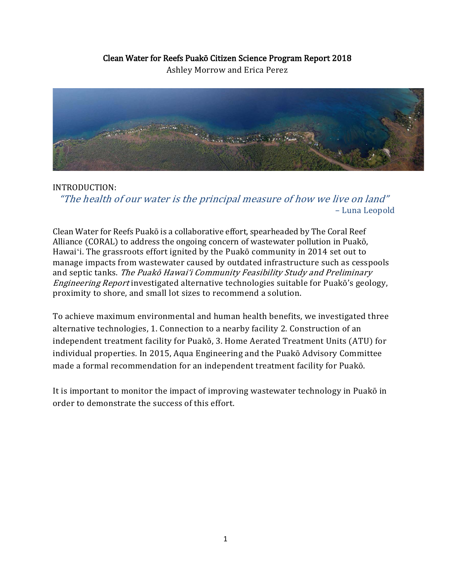# Clean Water for Reefs Puakō Citizen Science Program Report 2018

Ashley Morrow and Erica Perez



### INTRODUCTION:

"The health of our water is the principal measure of how we live on land" – Luna Leopold

Clean Water for Reefs Puakō is a collaborative effort, spearheaded by The Coral Reef Alliance (CORAL) to address the ongoing concern of wastewater pollution in Puakō, Hawaiʻi. The grassroots effort ignited by the Puakō community in 2014 set out to manage impacts from wastewater caused by outdated infrastructure such as cesspools and septic tanks. The Puakō Hawaiʻi Community Feasibility Study and Preliminary Engineering Report investigated alternative technologies suitable for Puakō's geology, proximity to shore, and small lot sizes to recommend a solution.

To achieve maximum environmental and human health benefits, we investigated three alternative technologies, 1. Connection to a nearby facility 2. Construction of an independent treatment facility for Puakō, 3. Home Aerated Treatment Units (ATU) for individual properties. In 2015, Aqua Engineering and the Puakō Advisory Committee made a formal recommendation for an independent treatment facility for Puakō.

It is important to monitor the impact of improving wastewater technology in Puakō in order to demonstrate the success of this effort.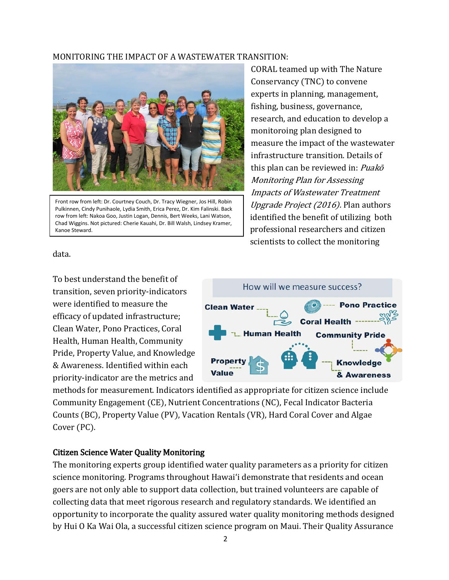#### MONITORING THE IMPACT OF A WASTEWATER TRANSITION:



Front row from left: Dr. Courtney Couch, Dr. Tracy Wiegner, Jos Hill, Robin Pulkinnen, Cindy Punihaole, Lydia Smith, Erica Perez, Dr. Kim Falinski. Back row from left: Nakoa Goo, Justin Logan, Dennis, Bert Weeks, Lani Watson, Chad Wiggins. Not pictured: Cherie Kauahi, Dr. Bill Walsh, Lindsey Kramer, Kanoe Steward.

CORAL teamed up with The Nature Conservancy (TNC) to convene experts in planning, management, fishing, business, governance, research, and education to develop a monitoroing plan designed to measure the impact of the wastewater infrastructure transition. Details of this plan can be reviewed in: Puakō Monitoring Plan for Assessing Impacts of Wastewater Treatment Upgrade Project (2016). Plan authors identified the benefit of utilizing both professional researchers and citizen scientists to collect the monitoring

data.

To best understand the benefit of transition, seven priority-indicators were identified to measure the efficacy of updated infrastructure; Clean Water, Pono Practices, Coral Health, Human Health, Community Pride, Property Value, and Knowledge & Awareness. Identified within each priority-indicator are the metrics and



methods for measurement. Indicators identified as appropriate for citizen science include Community Engagement (CE), Nutrient Concentrations (NC), Fecal Indicator Bacteria Counts (BC), Property Value (PV), Vacation Rentals (VR), Hard Coral Cover and Algae Cover (PC).

#### Citizen Science Water Quality Monitoring

The monitoring experts group identified water quality parameters as a priority for citizen science monitoring. Programs throughout Hawaiʻi demonstrate that residents and ocean goers are not only able to support data collection, but trained volunteers are capable of collecting data that meet rigorous research and regulatory standards. We identified an opportunity to incorporate the quality assured water quality monitoring methods designed by Hui O Ka Wai Ola, a successful citizen science program on Maui. Their Quality Assurance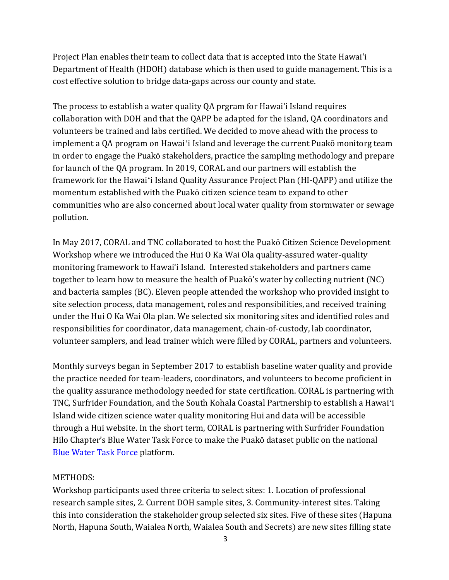Project Plan enables their team to collect data that is accepted into the State Hawaiʻi Department of Health (HDOH) database which is then used to guide management. This is a cost effective solution to bridge data-gaps across our county and state.

The process to establish a water quality QA prgram for Hawaiʻi Island requires collaboration with DOH and that the QAPP be adapted for the island, QA coordinators and volunteers be trained and labs certified. We decided to move ahead with the process to implement a QA program on Hawaiʻi Island and leverage the current Puakō monitorg team in order to engage the Puakō stakeholders, practice the sampling methodology and prepare for launch of the QA program. In 2019, CORAL and our partners will establish the framework for the Hawaiʻi Island Quality Assurance Project Plan (HI-QAPP) and utilize the momentum established with the Puakō citizen science team to expand to other communities who are also concerned about local water quality from stormwater or sewage pollution.

In May 2017, CORAL and TNC collaborated to host the Puakō Citizen Science Development Workshop where we introduced the Hui O Ka Wai Ola quality-assured water-quality monitoring framework to Hawaiʻi Island. Interested stakeholders and partners came together to learn how to measure the health of Puakō's water by collecting nutrient (NC) and bacteria samples (BC). Eleven people attended the workshop who provided insight to site selection process, data management, roles and responsibilities, and received training under the Hui O Ka Wai Ola plan. We selected six monitoring sites and identified roles and responsibilities for coordinator, data management, chain-of-custody, lab coordinator, volunteer samplers, and lead trainer which were filled by CORAL, partners and volunteers.

Monthly surveys began in September 2017 to establish baseline water quality and provide the practice needed for team-leaders, coordinators, and volunteers to become proficient in the quality assurance methodology needed for state certification. CORAL is partnering with TNC, Surfrider Foundation, and the South Kohala Coastal Partnership to establish a Hawaiʻi Island wide citizen science water quality monitoring Hui and data will be accessible through a Hui website. In the short term, CORAL is partnering with Surfrider Foundation Hilo Chapter's Blue Water Task Force to make the Puakō dataset public on the national [Blue Water Task Force](https://www.surfrider.org/blue-water-task-force?gclid=Cj0KCQiA28nfBRCDARIsANc5BFD-v-u7mNuY5bfm1akgeLP1alc-Hs3qQtovPvPXjFvaWePr-qWfFdgaAjQyEALw_wcB) platform.

#### METHODS:

Workshop participants used three criteria to select sites: 1. Location of professional research sample sites, 2. Current DOH sample sites, 3. Community-interest sites. Taking this into consideration the stakeholder group selected six sites. Five of these sites (Hapuna North, Hapuna South, Waialea North, Waialea South and Secrets) are new sites filling state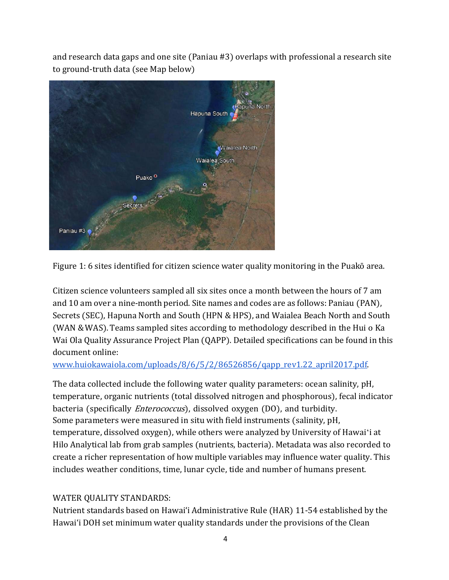and research data gaps and one site (Paniau #3) overlaps with professional a research site to ground-truth data (see Map below)



Figure 1: 6 sites identified for citizen science water quality monitoring in the Puakō area.

Citizen science volunteers sampled all six sites once a month between the hours of 7 am and 10 am over a nine-month period. Site names and codes are as follows: Paniau (PAN), Secrets (SEC), Hapuna North and South (HPN & HPS), and Waialea Beach North and South (WAN &WAS).Teams sampled sites according to methodology described in the Hui o Ka Wai Ola Quality Assurance Project Plan (QAPP). Detailed specifications can be found in this document online:

[www.huiokawaiola.com/uploads/8/6/5/2/86526856/qapp\\_rev1.22\\_april2017.pdf.](https://www.huiokawaiola.com/uploads/8/6/5/2/86526856/qapp_rev1.22_april2017.pdf)

The data collected include the following water quality parameters: ocean salinity, pH, temperature, organic nutrients (total dissolved nitrogen and phosphorous), fecal indicator bacteria (specifically *Enterococcus*), dissolved oxygen (DO), and turbidity. Some parameters were measured in situ with field instruments (salinity, pH, temperature, dissolved oxygen), while others were analyzed by University of Hawaiʻi at Hilo Analytical lab from grab samples (nutrients, bacteria). Metadata was also recorded to create a richer representation of how multiple variables may influence water quality. This includes weather conditions, time, lunar cycle, tide and number of humans present.

## WATER QUALITY STANDARDS:

Nutrient standards based on Hawaiʻi Administrative Rule (HAR) 11-54 established by the Hawaiʻi DOH set minimum water quality standards under the provisions of the Clean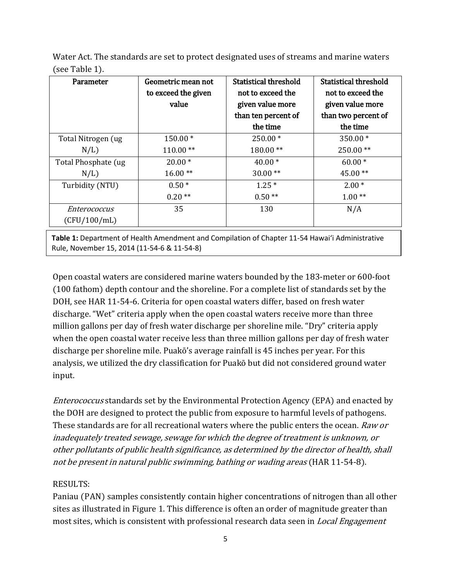Water Act. The standards are set to protect designated uses of streams and marine waters (see Table 1).

| Parameter                    | Geometric mean not<br>to exceed the given<br>value | Statistical threshold<br>not to exceed the<br>given value more<br>than ten percent of<br>the time | Statistical threshold<br>not to exceed the<br>given value more<br>than two percent of<br>the time |
|------------------------------|----------------------------------------------------|---------------------------------------------------------------------------------------------------|---------------------------------------------------------------------------------------------------|
| Total Nitrogen (ug           | 150.00*                                            | $250.00*$                                                                                         | $350.00*$                                                                                         |
| N/L                          | $110.00**$                                         | 180.00**                                                                                          | $250.00**$                                                                                        |
| Total Phosphate (ug          | $20.00*$                                           | $40.00*$                                                                                          | $60.00*$                                                                                          |
| N/L                          | $16.00**$                                          | $30.00**$                                                                                         | $45.00**$                                                                                         |
| Turbidity (NTU)              | $0.50*$                                            | $1.25*$                                                                                           | $2.00*$                                                                                           |
|                              | $0.20**$                                           | $0.50**$                                                                                          | $1.00**$                                                                                          |
| Enterococcus<br>(CFU/100/mL) | 35                                                 | 130                                                                                               | N/A                                                                                               |

**Table 1:** Department of Health Amendment and Compilation of Chapter 11-54 Hawaiʻi Administrative Rule, November 15, 2014 (11-54-6 & 11-54-8)

Open coastal waters are considered marine waters bounded by the 183-meter or 600-foot (100 fathom) depth contour and the shoreline. For a complete list of standards set by the DOH, see HAR 11-54-6. Criteria for open coastal waters differ, based on fresh water discharge. "Wet" criteria apply when the open coastal waters receive more than three million gallons per day of fresh water discharge per shoreline mile. "Dry" criteria apply when the open coastal water receive less than three million gallons per day of fresh water discharge per shoreline mile. Puakō's average rainfall is 45 inches per year. For this analysis, we utilized the dry classification for Puakō but did not considered ground water input.

Enterococcus standards set by the Environmental Protection Agency (EPA) and enacted by the DOH are designed to protect the public from exposure to harmful levels of pathogens. These standards are for all recreational waters where the public enters the ocean. Raw or inadequately treated sewage, sewage for which the degree of treatment is unknown, or other pollutants of public health significance, as determined by the director of health, shall not be present in natural public swimming, bathing or wading areas (HAR 11-54-8).

## RESULTS:

Paniau (PAN) samples consistently contain higher concentrations of nitrogen than all other sites as illustrated in Figure 1. This difference is often an order of magnitude greater than most sites, which is consistent with professional research data seen in *Local Engagement*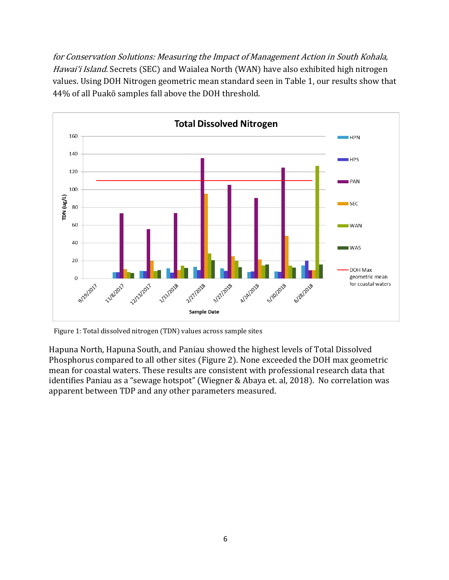for Conservation Solutions: Measuring the Impact of Management Action in South Kohala, Hawai'i Island. Secrets (SEC) and Waialea North (WAN) have also exhibited high nitrogen values. Using DOH Nitrogen geometric mean standard seen in Table 1, our results show that 44% of all Puakō samples fall above the DOH threshold.



Figure 1: Total dissolved nitrogen (TDN) values across sample sites

Hapuna North, Hapuna South, and Paniau showed the highest levels of Total Dissolved Phosphorus compared to all other sites (Figure 2). None exceeded the DOH max geometric mean for coastal waters. These results are consistent with professional research data that identifies Paniau as a "sewage hotspot" (Wiegner & Abaya et. al, 2018). No correlation was apparent between TDP and any other parameters measured.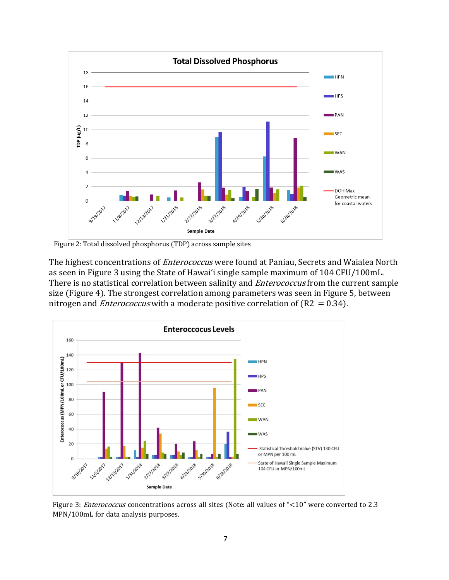

Figure 2: Total dissolved phosphorus (TDP) across sample sites

The highest concentrations of *Enterococcus* were found at Paniau, Secrets and Waialea North as seen in Figure 3 using the State of Hawaiʻi single sample maximum of 104 CFU/100mL. There is no statistical correlation between salinity and *Enterococcus* from the current sample size (Figure 4). The strongest correlation among parameters was seen in Figure 5, between nitrogen and *Enterococcus* with a moderate positive correlation of ( $R2 = 0.34$ ).



Figure 3: *Enterococcus* concentrations across all sites (Note: all values of "<10" were converted to 2.3 MPN/100mL for data analysis purposes.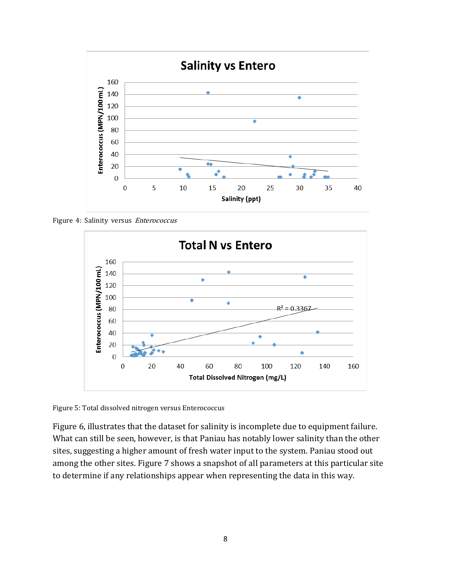

Figure 4: Salinity versus Enterococcus



Figure 5: Total dissolved nitrogen versus Enterococcus

Figure 6, illustrates that the dataset for salinity is incomplete due to equipment failure. What can still be seen, however, is that Paniau has notably lower salinity than the other sites, suggesting a higher amount of fresh water input to the system. Paniau stood out among the other sites. Figure 7 shows a snapshot of all parameters at this particular site to determine if any relationships appear when representing the data in this way.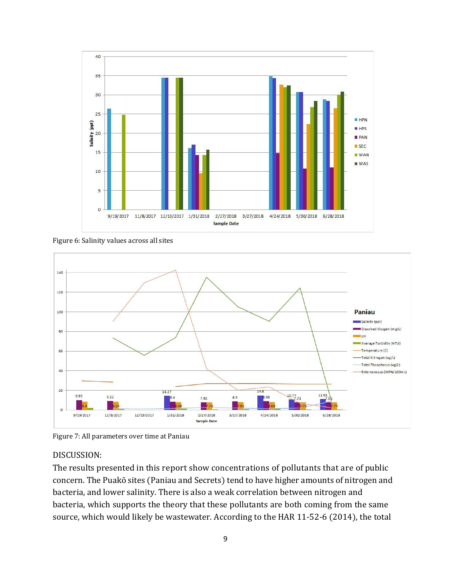

Figure 6: Salinity values across all sites



Figure 7: All parameters over time at Paniau

#### DISCUSSION:

The results presented in this report show concentrations of pollutants that are of public concern. The Puakō sites (Paniau and Secrets) tend to have higher amounts of nitrogen and bacteria, and lower salinity. There is also a weak correlation between nitrogen and bacteria, which supports the theory that these pollutants are both coming from the same source, which would likely be wastewater. According to the HAR 11-52-6 (2014), the total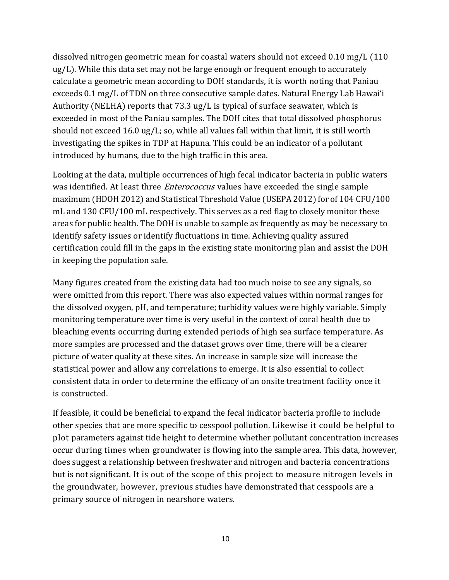dissolved nitrogen geometric mean for coastal waters should not exceed 0.10 mg/L (110 ug/L). While this data set may not be large enough or frequent enough to accurately calculate a geometric mean according to DOH standards, it is worth noting that Paniau exceeds 0.1 mg/L of TDN on three consecutive sample dates. Natural Energy Lab Hawaiʻi Authority (NELHA) reports that 73.3 ug/L is typical of surface seawater, which is exceeded in most of the Paniau samples. The DOH cites that total dissolved phosphorus should not exceed 16.0 ug/L; so, while all values fall within that limit, it is still worth investigating the spikes in TDP at Hapuna. This could be an indicator of a pollutant introduced by humans, due to the high traffic in this area.

Looking at the data, multiple occurrences of high fecal indicator bacteria in public waters was identified. At least three *Enterococcus* values have exceeded the single sample maximum (HDOH 2012) and Statistical Threshold Value (USEPA 2012) for of 104 CFU/100 mL and 130 CFU/100 mL respectively. This serves as a red flag to closely monitor these areas for public health. The DOH is unable to sample as frequently as may be necessary to identify safety issues or identify fluctuations in time. Achieving quality assured certification could fill in the gaps in the existing state monitoring plan and assist the DOH in keeping the population safe.

Many figures created from the existing data had too much noise to see any signals, so were omitted from this report. There was also expected values within normal ranges for the dissolved oxygen, pH, and temperature; turbidity values were highly variable. Simply monitoring temperature over time is very useful in the context of coral health due to bleaching events occurring during extended periods of high sea surface temperature. As more samples are processed and the dataset grows over time, there will be a clearer picture of water quality at these sites. An increase in sample size will increase the statistical power and allow any correlations to emerge. It is also essential to collect consistent data in order to determine the efficacy of an onsite treatment facility once it is constructed.

If feasible, it could be beneficial to expand the fecal indicator bacteria profile to include other species that are more specific to cesspool pollution. Likewise it could be helpful to plot parameters against tide height to determine whether pollutant concentration increases occur during times when groundwater is flowing into the sample area. This data, however, does suggest a relationship between freshwater and nitrogen and bacteria concentrations but is not significant. It is out of the scope of this project to measure nitrogen levels in the groundwater, however, previous studies have demonstrated that cesspools are a primary source of nitrogen in nearshore waters.